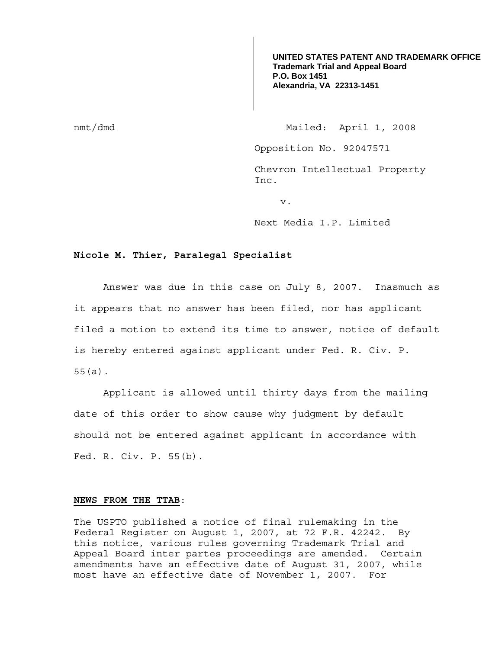**UNITED STATES PATENT AND TRADEMARK OFFICE Trademark Trial and Appeal Board P.O. Box 1451 Alexandria, VA 22313-1451**

nmt/dmd Mailed: April 1, 2008

Opposition No. 92047571

Chevron Intellectual Property Inc.

v.

Next Media I.P. Limited

## **Nicole M. Thier, Paralegal Specialist**

 Answer was due in this case on July 8, 2007. Inasmuch as it appears that no answer has been filed, nor has applicant filed a motion to extend its time to answer, notice of default is hereby entered against applicant under Fed. R. Civ. P. 55(a).

 Applicant is allowed until thirty days from the mailing date of this order to show cause why judgment by default should not be entered against applicant in accordance with Fed. R. Civ. P. 55(b).

## **NEWS FROM THE TTAB**:

The USPTO published a notice of final rulemaking in the Federal Register on August 1, 2007, at 72 F.R. 42242. By this notice, various rules governing Trademark Trial and Appeal Board inter partes proceedings are amended. Certain amendments have an effective date of August 31, 2007, while most have an effective date of November 1, 2007. For